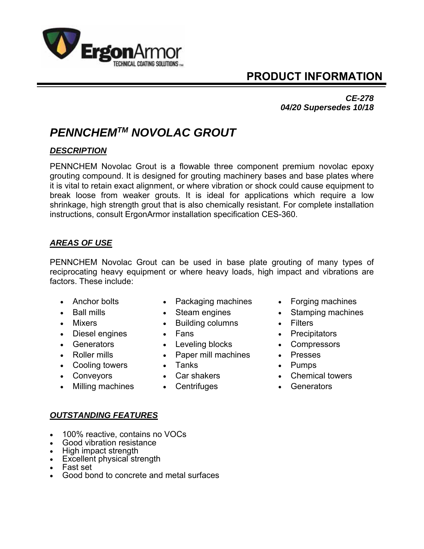

# **PRODUCT INFORMATION**

### *CE-278 04/20 Supersedes 10/18*

# *PENNCHEMTM NOVOLAC GROUT*

## *DESCRIPTION*

PENNCHEM Novolac Grout is a flowable three component premium novolac epoxy grouting compound. It is designed for grouting machinery bases and base plates where it is vital to retain exact alignment, or where vibration or shock could cause equipment to break loose from weaker grouts. It is ideal for applications which require a low shrinkage, high strength grout that is also chemically resistant. For complete installation instructions, consult ErgonArmor installation specification CES-360.

# *AREAS OF USE*

PENNCHEM Novolac Grout can be used in base plate grouting of many types of reciprocating heavy equipment or where heavy loads, high impact and vibrations are factors. These include:

- 
- 
- 
- 
- 
- 
- Cooling towers Tanks Pumps
- 
- Milling machines Centrifuges Generators
- Anchor bolts Packaging machines Forging machines
	-
- Mixers **Contract Contract Contract Contract Contract Contract Contract Contract Contract Contract Contract Contract Contract Contract Contract Contract Contract Contract Contract Contract Contract Contract Contract Contrac** 
	-
- Generators Leveling blocks Compressors
- Roller mills **Caper mill machines Presses** 
	-
	-
	-
- 
- Ball mills **Steam engines Stamping machines** 
	-
- Diesel engines **Constant Constant Constant Constant Constant Constant Constant Constant Constant Constant Constant Constant Constant Constant Constant Constant Constant Constant Constant Constant Constant Constant Constant** 
	-
	-
	-
- Conveyors Car shakers Chemical towers
	-

- *OUTSTANDING FEATURES*
- 100% reactive, contains no VOCs
- Good vibration resistance
- High impact strength
- Excellent physical strength
- Fast set
- Good bond to concrete and metal surfaces